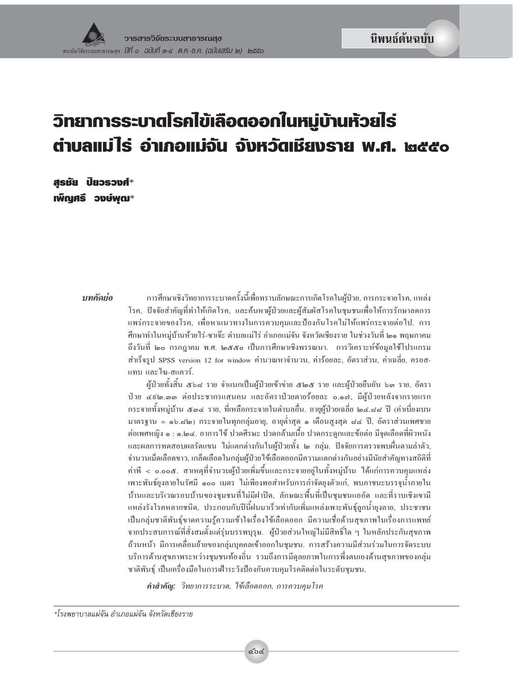# วิทยาการระบาดโรคไข้เลือดออกในหมู่บ้านห้วยไร่ ต่าบลแม่ไร่ อ่าเกอแม่จัน จังหวัตเชียงราย พ.ศ. ๒๕๕๐

**ASBU ปัยวรวงศ์**\* เพ็ญศรี วงษ์พุฒ $^*$ 

#### บทคัดย่อ

การศึกษาเชิงวิทยาการระบาดครั้งนี้เพื่อทราบลักษณะการเกิดโรคในผู้ป่วย, การกระจายโรค, แหล่ง โรค, ปัจจัยสำคัญที่ทำให้เกิดโรค, และค้นหาผู้ป่วยและผู้สัมผัสโรคในชุมชนเพื่อให้การรักษาลดการ แพร่กระจายของโรค, เพื่อหาแนวทางในการควบคุมและป้องกันโรคไม่ให้แพร่กระจายต่อไป. การ ศึกษาทำในหม่บ้านห้วยไร่-ซาเจ๊ะ ตำบลแม่ไร่ อำเภอแม่จัน จังหวัดเชียงราย ในช่วงวันที่ ๒๑ พฤษภาคม ถึงวันที่ ๒๐ กรกฎาคม พ.ศ. ๒๕๕๐ เป็นการศึกษาเชิงพรรณนา. การวิเคราะห์ข้อมลใช้โปรแกรม สำเร็จรป SPSS version 12 for window คำนวณหาจำนวน, ค่าร้อยละ, อัตราส่วน, ค่าเฉลี่ย, ครอส-แทบ และไฆ-สแควร์.

ผ้ป่วยทั้งสิ้น ๕๖๘ ราย จำแนกเป็นผ้ป่วยเข้าข่าย ๕๒๕ ราย และผ้ป่วยยืนยัน ๖๑ ราย, อัตรา ป่วย ๔៩๒.๓๓ ต่อประชากรแสนคน และอัตราป่วยตายร้อยละ ๐.๑๗, มีผู้ป่วยหลังจากรายแรก กระจายทั้งหม่บ้าน ๕๑๔ ราย, ที่เหลือกระจายในตำบลอื่น. อายผ้ป่วยเฉลี่ย ๒๔.๘๘ ปี (ค่าเบี่ยงเบน มาตรฐาน = ๑๖.๘๒) กระจายในทกกลุ่มอาย, อายต่ำสุด ๑ เดือนสงสุด ๘๔ ปี, อัตราส่วนเพศชาย ต่อเพศหญิง ๑ : ๑.๒๔. อาการไข้ ปวดศีรษะ ปวดกล้ามเนื้อ ปวดกระดกและข้อต่อ มีจดเลือดที่ผิวหนัง และผลการทดสอบผลรัดแขน ไม่แตกต่างกันในผ้ป่วยทั้ง ๒ กล่ม. ปัจจัยการตรวจพบผื่นตามลำตัว, จำนวนเม็ดเลือดขาว, เกล็ดเลือดในกล่มผู้ป่วยไข้เลือดออกมีความแตกต่างกันอย่างมีนัยสำคัญทางสถิติที่ ้เพาะพันธ์ยงลายในรัศมี ๑๐๐ เมตร ไม่เพียงพอสำหรับการกำจัดยงตัวแก่, พบภาชนะบรรจน้ำภายใน บ้านและบริเวณรอบบ้านของชมชนที่ไม่มีฝาปีค. ลักษณะพื้นที่เป็นชมชนแออัค และที่ราบเชิงเขามี แหล่งรังโรคหลากชนิด, ประกอบกับปีนี้ฝนมาเร็วเท่ากับเพิ่มแหล่งเพาะพันธ์ลกน้ำยงลาย, ประชาชน เป็นกลุ่มชาติพันธุ์ขาดความรู้ความเข้าใจเรื่องไข้เลือดออก มีความเชื่อด้านสุขภาพในเรื่องการแพทย์ จากประสบการณ์ที่สั่งสมตั้งแต่รุ่นบรรพบุรุษ. ผู้ป่วยส่วนใหญ่ไม่มีสิทธิ์ใด ๆ ในหลักประกันสุขภาพ ถ้วนหน้า มีการเคลื่อนย้ายของกลุ่มบุคคลเข้าออกในชุมชน. การสร้างความมีส่วนร่วมในการจัดระบบ บริการด้านสขภาพระหว่างชมชนท้องถิ่น รวมถึงการมีดลยภาพในการพึ่งตนเองด้านสขภาพของกล่ม ชาติพันธ์ เป็นเครื่องมือในการเฝ้าระวังป้องกันควบคมโรคติดต่อในระดับชมชน.

คำสำคัญ: วิทยาการระบาด, ใช้เลือดออก, การควบคุมโรค

\*โรงพยาบาลแม่จัน อำเภอแม่จัน จังหวัดเชียงราย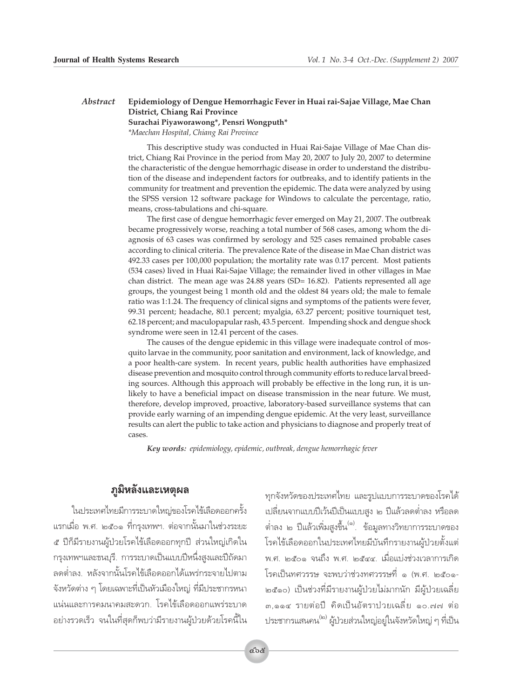#### Ahstract Epidemiology of Dengue Hemorrhagic Fever in Huai rai-Sajae Village, Mae Chan District, Chiang Rai Province Surachai Piyaworawong\*, Pensri Wongputh\*

\*Maechan Hospital, Chiang Rai Province

This descriptive study was conducted in Huai Rai-Sajae Village of Mae Chan district, Chiang Rai Province in the period from May 20, 2007 to July 20, 2007 to determine the characteristic of the dengue hemorrhagic disease in order to understand the distribution of the disease and independent factors for outbreaks, and to identify patients in the community for treatment and prevention the epidemic. The data were analyzed by using the SPSS version 12 software package for Windows to calculate the percentage, ratio, means, cross-tabulations and chi-square.

The first case of dengue hemorrhagic fever emerged on May 21, 2007. The outbreak became progressively worse, reaching a total number of 568 cases, among whom the diagnosis of 63 cases was confirmed by serology and 525 cases remained probable cases according to clinical criteria. The prevalence Rate of the disease in Mae Chan district was 492.33 cases per 100,000 population; the mortality rate was 0.17 percent. Most patients (534 cases) lived in Huai Rai-Sajae Village; the remainder lived in other villages in Mae chan district. The mean age was 24.88 years (SD= 16.82). Patients represented all age groups, the youngest being 1 month old and the oldest 84 years old; the male to female ratio was 1:1.24. The frequency of clinical signs and symptoms of the patients were fever, 99.31 percent; headache, 80.1 percent; myalgia, 63.27 percent; positive tourniquet test, 62.18 percent; and maculopapular rash, 43.5 percent. Impending shock and dengue shock syndrome were seen in 12.41 percent of the cases.

The causes of the dengue epidemic in this village were inadequate control of mosquito larvae in the community, poor sanitation and environment, lack of knowledge, and a poor health-care system. In recent years, public health authorities have emphasized disease prevention and mosquito control through community efforts to reduce larval breeding sources. Although this approach will probably be effective in the long run, it is unlikely to have a beneficial impact on disease transmission in the near future. We must, therefore, develop improved, proactive, laboratory-based surveillance systems that can provide early warning of an impending dengue epidemic. At the very least, surveillance results can alert the public to take action and physicians to diagnose and properly treat of cases.

Key words: epidemiology, epidemic, outbreak, dengue hemorrhagic fever

#### ภูมิหลังและเหตุผล

ในประเทศไทยมีการระบาดใหญ่ของโรคไข้เลือดออกครั้ง แรกเมื่อ พ.ศ. ๒๕๐๑ ที่กรุงเทพฯ. ต่อจากนั้นมาในช่วงระยะ ๕ ปีก็มีรายงานผู้ป่วยโรคไข้เลือดออกทุกปี ส่วนใหญ่เกิดใน กรุงเทพฯและธนบุรี. การระบาดเป็นแบบปีหนึ่งสูงและปีถัดมา ลดต่ำลง. หลังจากนั้นโรคไข้เลือดออกได้แพร่กระจายไปตาม จังหวัดต่าง ๆ โดยเฉพาะที่เป็นหัวเมืองใหญ่ ที่มีประชากรหนา แน่นและการคมนาคมสะดวก. โรคไข้เลือดออกแพร่ระบาด ้อย่างรวดเร็ว จนในที่สดก็พบว่ามีรายงานผ้ป่วยด้วยโรคนี้ใน

ทุกจังหวัดของประเทศไทย และรูปแบบการระบาดของโรคได้ เปลี่ยนจากแบบปีเว้นปีเป็นแบบสูง ๒ ปีแล้วลดต่ำลง หรือลด ู้ต่ำลง ๒ ปีแล้วเพิ่มสูงขึ้น <sup>(๑)</sup>. ข้อมูลทางวิทยาการระบาดของ โรคไข้เลือดออกในประเทศไทยมีบันทึกรายงานผู้ป่วยตั้งแต่ พ.ศ. ๒๕๐๑ จนถึง พ.ศ. ๒๕๔๔. เมื่อแบ่งช่วงเวลาการเกิด โรคเป็นทศวรรษ จะพบว่าช่วงทศวรรษที่ ๑ (พ.ศ. ๒๕๐๑-๒๕๑๐) เป็นช่วงที่มีรายงานผู้ป่วยไม่มากนัก มีผู้ป่วยเฉลี่ย ๓,๑๑๔ รายต่อปี คิดเป็นอัตราปวยเฉลี่ย ๑๐.๗๗ ต่อ ูประชากรแสนคน<sup>(๒)</sup> ผู้ป่วยส่วนใหญ่อยู่ในจังหวัดใหญ่ ๆ ที่เป็น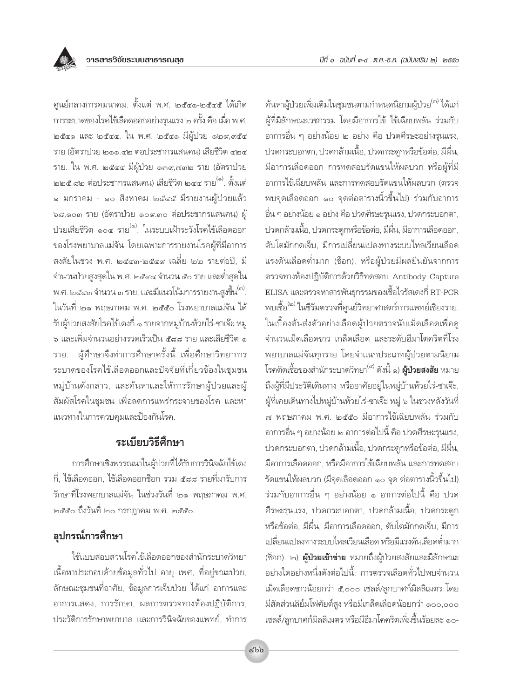ปีที่ ๑ ฉบับที่ ๓-๔ ต.ค.-ธ.ค. (ฉบับเสริม ๒) ๒๕๕๐

้ศูนย์กลางการคมนาคม. ตั้งแต่ พ.ศ. ๒๕๔๑-๒๕๔๕ ได้เกิด การระบาดของโรคไข้เลือดออกอย่างรุนแรง ๒ ครั้ง คือ เมื่อ พ.ศ.  $\mathbb{R}$ อี้สุด และ ๒๕๔๔. ใน พ.ศ. ๒๕๔๑ มีผู้ป่วย ๑๒๙,๙๕๔ ราย (อัตราป่วย ๒๑๑.๔๒ ต่อประชากรแสนคน) เสียชีวิต ๔๒๔ ราย. ใน พ.ศ. ๒๕๔๔ มีผู้ป่วย ๑๓๙,๗๓๒ ราย (อัตราป่วย ี ๒๒๕.๘๒ ต่อประชากรแสนคน) เสียชีวิต ๒๔๔ ราย<sup>(๑)</sup>. ตั้งแต่ ๑ มกราคม - ๑๐ สิงหาคม ๒๕๔๕ มีรายงานผ้ป่วยแล้ว ๖๘,๑๐๓ ราย (อัตราป่วย ๑๐๙.๓๐ ต่อประชากรแสนคน) ผู้ ป่วยเสียชีวิต ๑๐๔ ราย<sup>(๑)</sup>. ในระบบเฝ้าระวังโรคไข้เลือดออก ของโรงพยาบาลแม่จัน โดยเฉพาะการรายงานโรคผู้ที่มีอาการ สงสัยในช่วง พ.ศ. ๒๕๔๓-๒๕๔๙ เฉลี่ย ๒๒ รายต่อปี. มี ้จำนวนป่วยสูงสุดใน พ.ศ. ๒๕๔๘ จำนวน ๕๐ ราย และต่ำสุดใน พ.ศ. ๒๕๔๓ จำนวน ๓ ราย, และมีแนวโน้มการรายงานสูงขึ้น ". ในวันที่ ๒๑ พฤษภาคม พ.ศ. ๒๕๕๐ โรงพยาบาลแม่จัน ได้ รับผู้ป่วยสงสัยโรคไข้เดงกี่ ๑ รายจากหมู่บ้านห้วยไร่-ซาเจ๊ะ หมู่ ้๖ และเพิ่มจำนวนอย่างรวดเร็วเป็น ๕๘๘ ราย และเสียชีวิต ๑ ผู้ศึกษาจึงทำการศึกษาครั้งนี้ เพื่อศึกษาวิทยาการ ราย. ระบาดของโรคไข้เลือดออกและปัจจัยที่เกี่ยวข้องในชุมชน หมู่บ้านดังกล่าว, และค้นหาและให้การรักษาผู้ป่วยและผู้ ้สัมผัสโรคในชุมชน เพื่อลดการแพร่กระจายของโรค และหา แนวทางในการควบคมและป้องกันโรค.

## ระเบียบวิธีศึกษา

การศึกษาเชิงพรรณนาในผู้ป่วยที่ได้รับการวินิจฉัยไข้เดง ี กี่, ไข้เลือดออก, ไข้เลือดออกซ็อก รวม ๕๘๘ รายที่มารับการ รักษาที่โรงพยาบาลแม่จัน ในช่วงวันที่ ๒๑ พฤษภาคม พ.ศ. ๒๕๕๐ ถึงวันที่ ๒๐ กรกฎาคม พ.ศ. ๒๕๕๐.

# อุปกรณ์การศึกษา

ใช้แบบสอบสวนโรคไข้เลือดออกของสำนักระบาดวิทยา เนื้อหาประกอบด้วยข้อมูลทั่วไป อายุ เพศ, ที่อยู่ขณะป่วย, ลักษณะชุมชนที่อาศัย, ข้อมูลการเจ็บป่วย ได้แก่ อาการและ อาการแสดง, การรักษา, ผลการตรวจทางห้องปฏิบัติการ, ประวัติการรักษาพยาบาล และการวินิจฉัยของแพทย์, ทำการ ้ค้นหาผู้ป่วยเพิ่มเติมในชุมชนตามกำหนดนิยามผู้ป่วย<sup>(๓) </sup>ได้แก่ ผู้ที่มีลักษณะเวชกรรม โดยมีอาการไข้ ไข้เฉียบพลัน ร่วมกับ อาการอื่น ๆ อย่างน้อย ๒ อย่าง คือ ปวดศีรษะอย่างรนแรง. ปวดกระบอกตา, ปวดกล้ามเนื้อ, ปวดกระดูกหรือข้อต่อ, มีผื่น, มือาการเลือดออก การทดสอบรัดแขนให้ผลบวก หรือผู้ที่มี อาการไข้เฉียบพลัน และการทดสอบรัดแขนให้ผลบวก (ตรวจ พบจุดเลือดออก ๑๐ จุดต่อตารางนิ้วขึ้นไป) ร่วมกับอาการ อื่น ๆ อย่างน้อย ๑ อย่าง คือ ปวดศีรษะรุนแรง, ปวดกระบอกตา, ปวดกล้ามเนื้อ, ปวดกระดกหรือข้อต่อ, มีผื่น, มีอาการเลือดออก, ้ตับโตมักกดเจ็บ. มีการเปลี่ยนแปลงทางระบบไหลเวียนเลือด แรงดันเลือดต่ำมาก (ช็อก), หรือผู้ป่วยมีผลยืนยันจากการ ตรวจทางห้องปฏิบัติการด้วยวิธีทดสอบ Antibody Capture ELISA และตรวจหาสารพันธุกรรมของเชื้อไวรัสเดงกี่ RT-PCR พบเชื้อ <sup>(๒)</sup> ในซีรัมตรวจที่ศูนย์วิทยาศาสตร์การแพทย์เชียงราย. ในเบื้องต้นส่งตัวอย่างเลือดผู้ป่วยตรวจนับเม็ดเลือดเพื่อดู จำนวนเม็ดเลือดขาว เกล็ดเลือด และระดับฮีมาโตคริตที่โรง พยาบาลแม่จันทุกราย โดยจำแนกประเภทผู้ป่วยตามนิยาม โรคติดเชื้อของสำนักระบาดวิทยา<sup>(๔)</sup> ดังนี้ ๑) **ผู้ป่วยสงสัย** หมาย ถึงผู้ที่มีประวัติเดินทาง หรืออาศัยอยู่ในหมู่บ้านห้วยไร่-ชาเจ๊ะ, ผู้ที่เคยเดินทางไปหมู่บ้านห้วยไร่-ซาเจ๊ะ หมู่ ๖ ในช่วงหลังวันที่ ิ๗ พฤษภาคม พ.ศ. ๒๕๕๐ มีอาการไข้เฉียบพลัน ร่วมกับ อาการอื่น ๆ อย่างน้อย ๒ อาการต่อไปนี้ คือ ปวดศีรษะรุนแรง, ปวดกระบอกตา, ปวดกล้ามเนื้อ, ปวดกระดูกหรือข้อต่อ, มีผื่น, มือาการเลือดออก, หรือมือาการไข้เฉียบพลัน และการทดสอบ รัดแขนให้ผลบวก (มีจุดเลือดออก ๑๐ จุด ต่อตารางนิ้วขึ้นไป) ร่วมกับอาการอื่น ๆ อย่างน้อย ๑ อาการต่อไปนี้ คือ ปวด คีรษะรุนแรง, ปวดกระบอกตา, ปวดกล้ามเนื้อ, ปวดกระดูก หรือข้อต่อ, มีผื่น, มีอาการเลือดออก, ตับโตมักกดเจ็บ, มีการ เปลี่ยนแปลงทางระบบไหลเวียนเลือด หรือมีแรงดันเลือดต่ำมาก (ช็อก). ๒) **ผู้ป่วยเข้าข่าย** หมายถึงผู้ป่วยสงสัยและมีลักษณะ ้อย่างใดอย่างหนึ่งดังต่อไปนี้: การตรวจเลือดทั่วไปพบจำนวน เม็ดเลือดขาวน้อยกว่า ๕,๐๐๐ เซลล์/ลูกบาศก์มิลลิเมตร โดย มีสัดส่วนลิย์มโฟศัยต์สูง หรือมีเกล็ดเลือดน้อยกว่า ๑๐๐,๐๐๐ เซลล์/ลูกบาศก์มิลลิเมตร หรือมีฮีมาโคคริตเพิ่มขึ้นร้อยละ ๑๐-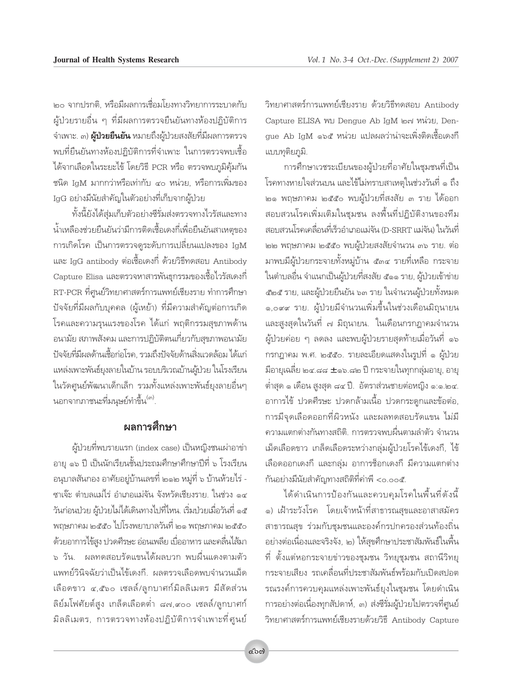ั๒๐ จากปรกติ. หรือมีผลการเชื่อมโยงทางวิทยาการระบาดกับ ์ ผู้ป่วยรายอื่น ๆ ที่มีผลการตรวจยืนยันทางห้องปฏิบัติการ ึจำเพาะ. ๓) **ผู้ป่วยยืนยัน** หมายถึงผู้ป่วยสงสัยที่มีผลการตรวจ พบที่ยืนยันทางห้องปฏิบัติการที่จำเพาะ ในการตรวจพบเชื้อ ได้จากเลือดในระยะไข้ โดยวิธี PCR หรือ ตรวจพบภูมิคุ้มกัน ชนิด IgM มากกว่าหรือเท่ากับ ๔๐ หน่วย, หรือการเพิ่มของ IgG อย่างมีนัยสำคัญในตัวอย่างที่เก็บจากผู้ป่วย

ู้ชั้งนี้ยังได้สุ่มเก็บตัวอย่างซีรั่มส่งตรวจทางไวรัสและทาง น้ำเหลืองช่วยยืนยันว่ามีการติดเชื้อเดงกี่เพื่อยืนยันสาเหต<sub>ของ</sub> ำการเกิดโรค เป็นการตรวจดูระดับการเปลี่ยนแปลงของ IgM ·≈– IgG antibody µàÕ‡™◊ÈÕ‡¥ß°'Ë ¥â«¬«'∏'∑¥ Õ∫ Antibody Capture Elisa และตรวจหาสารพันธุกรรมของเชื้อไวรัสเดงกี่ RT-PCR ที่ศูนย์วิทยาศาสตร์การแพทย์เชียงราย ทำการศึกษา ู้ ปัจจัยที่มีผลกับบุคคล (ผู้เหย้า) ที่มีความสำคัญต่อการเกิด ์ โรคและความรุนแรงของโรค ได้แก่ พฤติกรรมสุขภาพด้าน ือนามัย สภาพสังคม และการปฏิบัติตนเกี่ยวกับสุขภาพอนามัย ู้ปัจจัยที่มีผลด้านเชื้อก่อโรค. รวมถึงปัจจัยด้านสิ่งแวดล้อม ได้แก่ เเหล่งเพาะพันธ์ยงลายในบ้าน รอบบริเวณบ้านผ้ป่วย ในโรงเรียน ในวัดศูนย์พัฒนาเด็กเล็ก รวมทั้งแหล่งเพาะพันธ์ยุงลายอื่นๆ นอกจากภาชนะที่มนุษย์ทำขึ้น<sup>(๓)</sup>.

## **้ผลการศึกษา**

ผู้ป่วยที่พบรายแรก (index case) เป็นหญิงชนเผ่าอาข่า ้อายุ ๑๖ ปี เป็นนักเรียนชั้นประถมศึกษาศึกษาปีที่ ๖ โรงเรียน ือนุบาลสันกอง อาศัยอยู่บ้านเลขที่ ๒๑๒ หมู่ที่ ๖ บ้านห้วยไร่ - $\,$ ซาเจ๊ะ ตำบลแม่ไร่ อำเภอแม่จัน จังหวัดเชียงราย. ในช่วง ๑๔ ้วันก่อนป่วย ผู้ป่วยไม่ได้เดินทางไปที่ไหน. เริ่มป่วยเมื่อวันที่ ๑๕ ทฤษภาคม ๒๕๕๐ ไปโรงพยาบาลวันที่ ๒๑ พฤษภาคม ๒๕๕๐ ู้ด้วยอาการไข้สูง ปวดศีรษะ อ่อนเพลีย เบื่ออาหาร และคลื่นไส้มา ิ » วัน. ผลทดสอบรัดแขนได้ผลบวก พบผื่นแดงตามตัว เเพทย์วินิจฉัยว่าเป็นไข้เดงกี่. ผลตรวจเลือดพบจำนวนเม็ด เลือดขาว ๔,๕๖๐ เซลล์/ลูกบาศก์มิลลิเมตร มีสัดส่วน ้ลิย์มโฟศัยต์สูง เกล็ดเลือดต่ำ ๘๗,๙๐๐ เชลล์/ลูกบาศก์ ู้มิลลิเมตร, การตรวจทางห้องปฏิบัติการจำเพาะที่ศูนย์

วิทยาศาสตร์การแพทย์เชียงราย ด้วยวิธีทดสอบ Antibody Capture ELISA พบ Dengue Ab IgM ๒๗ หน่วย, Dengue Ab IgM ๑๖๕ หน่วย แปลผลว่าน่าจะเพิ่งติดเชื้อเดงกี่ แบบทุติยภูมิ.

ำการศึกษาเวชระเบียนของผู้ป่วยที่อาศัยในชุมชนที่เป็น ์โรคทางหายใจส่วนบน และไข้ไม่ทราบสาเหตุในช่วงวันที่ ๑ ถึง ๒๑ พฤษภาคม ๒๕๕๐ พบผู้ป่วยที่สงสัย ๓ ราย ได้ออก ิสอบสวนโรคเพิ่มเติมในชุมชน ลงพื้นที่ปฏิบัติงานของทีม สอบสวนโรคเคลื่อนที่เร็วอำเภอแม่จัน (D-SRRT แม่จัน) ในวันที่ ๒๒ พฤษภาคม ๒๕๕๐ พบผู้ป่วยสงสัยจำนวน ๓๖ ราย. ต่อ มาพบมีผู้ป่วยกระจายทั้งหมู่บ้าน ๕๓๔ รายที่เหลือ กระจาย ในตำบลอื่น จำแนกเป็นผู้ป่วยที่สงสัย ๕๑๑ ราย, ผู้ป่วยเข้าข่าย ์ ๕๒๕ ราย, และผู้ป่วยยืนยัน ๖๓ ราย ในจำนวนผู้ป่วยทั้งหมด ๑,๐๙๙ ราย. ผู้ป่วยมีจำนวนเพิ่มขึ้นในช่วงเดือนมิถุนายน และสูงสุดในวันที่ ๗ มิถุนายน. ในเดือนกรกฎาคมจำนวน ์ผู้ป่วยค่อย ๆ ลดลง และพบผู้ป่วยรายสุดท้ายเมื่อวันที่ ๑๖ ำรกฎาคม พ.ศ. ๒๕๕๐. รายละเอียดแสดงในรูปที่ ๑ ผู้ป่วย ู<br>มีอายุเฉลี่ย ๒๔.๘๘ ± ๑๖.๘๒ ปี กระจายในทุกกลุ่มอายุ, อายุ ู<br>|ต่ำสุด ๑ เดือน สูงสุด ๘๔ ปี. อัตราส่วนชายต่อหญิง ๑:๑.๒๔. ือาการไข้ ปวดศีรษะ ปวดกล้ามเนื้อ ปวดกระดูกและข้อต่อ, ำการมีจดเลือดออกที่ผิวหนัง และผลทดสอบรัดแขน ไม่มี ้<br>ความแตกต่างกันทางสถิติ. การตรวจพบผื่นตามลำตัว จำนวน ู้ เม็ดเลือดขาว เกล็ดเลือดระหว่างกลุ่มผู้ป่วยโรคไข้เดงกี, ไข้ ู้เลื้อดออกเดงกี่ และกลุ่ม อาการซ็อกเดงกี่ มีความแตกต่าง ้กันอย่างมีนัยสำคัญทางสถิติที่ค่าพี <0.00๕.

ู้ ได้ดำเนินการป้องกันและควบคุมโรคในพื้นที่ดังนี้ ๑) เฝ้าระวังโรค โดยเจ้าหน้าที่สาธารณสุขและอาสาสมัคร ีสาธารณสุข ร่วมกับชุมชนและองค์กรปกครองส่วนท้องถิ่น ือย่างต่อเนื่องและจริงจัง, ๒) ให้สุขศึกษาประชาสัมพันธ์ในพื้น ู้ที่ ตั้งแต่หอกระจายข่าวของชุมชน วิทยุชุมชน สถานีวิทยุ ึกระจายเสียง รถเคลื่อนที่ประชาสัมพันธ์พร้อมกับเปิดสปอต รณรงค์การควบคุมแหล่งเพาะพันธ์ยุงในชุมชน โดยดำเนิน ำกรอย่างต่อเนื่องทุกสัปดาห์, ๓) ส่งซีรั่มผู้ป่วยไปตรวจที่ศูนย์ วิทยาศาสตร์การแพทย์เชียงรายด้วยวิธี Antibody Capture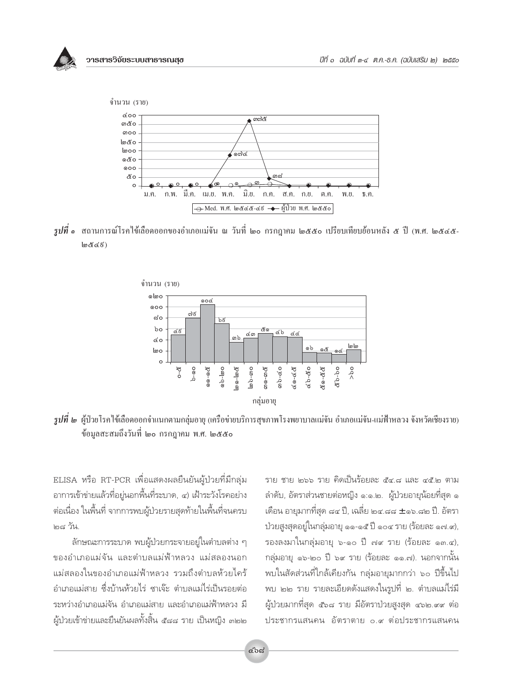



*รูปที่* ๑ สถานการณ์โรคไข้เลือดออกของอำเภอแม่จัน ณ วันที่ ๒๐ กรกฎาคม ๒๕๕๐ เปรียบเทียบย้อนหลัง ๕ ปี (พ.ศ. ๒๕๔๕- $\ln \mathcal{E}(\epsilon)$ 



*รูปที่ ๒* ผู้ป่วยโรคไข้เลือดออกจำแนกตามกลุ่มอายุ (เครือข่ายบริการสุขภาพโรงพยาบาลแม่จัน อำเภอแม่จัน-แม่ฟ้าหลวง จังหวัดเชียงราย) .<br>ข้อมูลสะสมถึงวันที่ ๒๐ กรกฎาคม พ.ศ. ๒๕๕๐

ELISA หรือ RT-PCR เพื่อแสดงผลยืนยันผู้ป่วยที่มีกลุ่ม อาการเข้าข่ายแล้วที่อย่นอกพื้นที่ระบาด. ๔) เฝ้าระวังโรคอย่าง ต่อเนื่อง ในพื้นที่ จากการพบผู้ป่วยรายสุดท้ายในพื้นที่จนครบ <sub>ไตเร</sub>ู วัน

ลักษณะการระบาด พบผู้ป่วยกระจายอยู่ในตำบลต่าง ๆ ของอำเภอแม่จัน และตำบลแม่ฟ้าหลวง แม่สลองนอก แม่สลองในของอำเภอแม่ฟ้าหลวง รวมถึงตำบลห้วยไคร้ อำเภอแม่สาย ซึ่งบ้านห้วยไร่ ซาเจ๊ะ ตำบลแม่ไร่เป็นรอยต่อ ระหว่างอำเภอแม่จัน อำเภอแม่สาย และอำเภอแม่ฟ้าหลวง มี ้ผ้ป่วยเข้าข่ายและยื่นยันผลทั้งสิ้น ๕๘๘ ราย เป็นหญิง ๓๒๒

ราย ชาย ๒๖๖ ราย คิดเป็นร้อยละ ๕๔.๘ และ ๔๕.๒ ตาม ลำดับ, อัตราส่วนชายต่อหญิง ๑:๑.๒. ผู้ป่วยอายุน้อยที่สุด ๑ เดือน อายุมากที่สุด ๘๔ ปี, เฉลี่ย ๒๔.๘๘ ± ๑๖.๘๒ ปี. อัตรา ป่วยสูงสุดอยู่ในกลุ่มอายุ ๑๑-๑๕ ปี ๑๐๔ ราย (ร้อยละ ๑๗.๙), รองลงมาในกลุ่มอายุ ๖-๑๐ ปี ๗๙ ราย (ร้อยละ ๑๓.๔), กลุ่มอายุ ๑๖-๒๐ ปี ๖๙ ราย (ร้อยละ ๑๑.๗). นอกจากนั้น ้พบในสัดส่วนที่ใกล้เคียงกัน กลุ่มอายุมากกว่า ๖๐ ปีขึ้นไป พบ ๒๒ ราย รายละเอียดดังแสดงในรูปที่ ๒. ตำบลแม่ไร่มี ผู้ป่วยมากที่สุด ๕๖๘ ราย มีอัตราป่วยสูงสุด ๔๖๒.๙๙ ต่อ ประชากรแสนคน อัตราตาย ๐.๙ ต่อประชากรแสนคน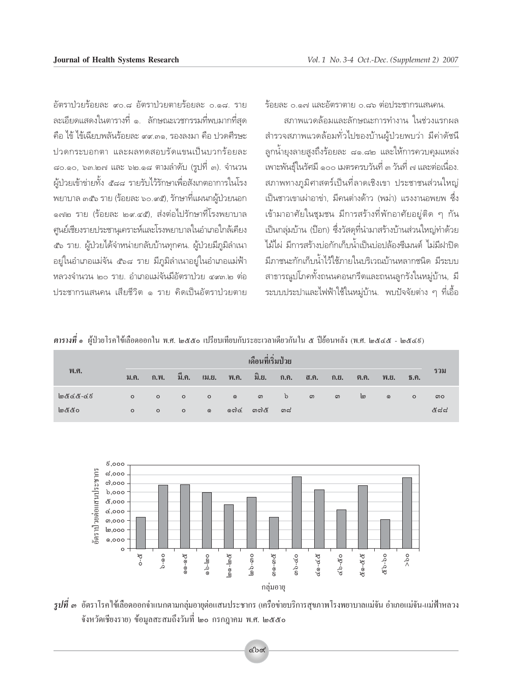้<br>อัตราปวยร้อยละ ∝0.๘ อัตราปวยตายร้อยละ 0.๑๘. ราย ึละเอียดแสดงในตารางที่ ๑. ลักษณะเวชกรรมที่พบมากที่สด คือ ไข้ ไข้เฉียบพลันร้อยละ ๙๙.๓๑, รองลงมา คือ ปวดศีรษะ ปวดกระบอกตา และผลทดสอบรัดแขนเป็นบวกร้อยละ ๘๐.๑๐, ๖๓.๒๗ และ ๖๒.๑๘ ตามลำดับ (รูปที่ ๓). จำนวน ์ผู้ป่วยเข้าข่ายทั้ง ๕๘๘ รายรับไว้รักษาเพื่อสังเกตอาการในโรง พยาบาล ๓๕๖ ราย (ร้อยละ ๖๐.๙๕), รักษาที่แผนกผ้ป่วยนอก ๑๗๒ ราย (ร้อยละ ๒๙.๔๕), ส่งต่อไปรักษาที่โรงพยาบาล ึศนย์เชียงรายประชานเคราะห์และโรงพยาบาลในอำเภอใกล้เคียง ึ ๕๖ ราย. ผู้ป่วยได้จำหน่ายกลับบ้านทุกคน. ผู้ป่วยมีภูมิลำเนา ้อยู่ในอำเภอแม่จัน ๕๖๘ ราย มีภูมิลำเนาอยู่ในอำเภอแม่ฟ้า ้หลวงจำนวน ๒๐ ราย. อำเภอแม่จันมีอัตราป่วย ๔๙๓.๒ ต่อ ประชากรแสนคน เสียชีวิต ๑ ราย คิดเป็นอัตราปวยตาย

 $\check{\tilde{\gamma}}$ อยคะ , อ ๑๓ และอัตราตาย อ ๘๖ ต่อประชากรแสนคน

้สภาพแวดล้อมและลักษณะการทำงาน ในช่วงแรกผล ี สำรวจสภาพแวดล้อมทั่วไปของบ้านผู้ป่วยพบว่า มีค่าดัชนี ูลูกน้ำยุงลายสูงถึงร้อยละ ๘๑.๘๒ และให้การควบคุมแหล่ง เพาะพันธ์ในรัศมี ๑๐๐ เมตรครบวันที่ ๓ วันที่ ๗ และต่อเนื่อง. ้สภาพทางภูมิศาสตร์เป็นที่ลาดเชิงเขา ประชาชนส่วนใหญ่ ้เป็นชาวเขาเผ่าอาข่า, มีคนต่างด้าว (พม่า) แรงงานอพยพ ซึ่ง ี เข้ามาอาศัยในชุมชน มีการสร้างที่พักอาศัยอยู่ติด ๆ กัน ู้เป็นกลุ่มบ้าน (ป๊อก) ซึ่งวัสดุที่นำมาสร้างบ้านส่วนใหญ่ทำด้วย ้ไม้ไผ่ มีการสร้างบ่อกักเก็บน้ำเป็นบ่อปล้องซีเมนต์ ไม่มีฝาปิด ู้มีภาชนะกักเก็บน้ำไว้ใช้ภายในบริเวณบ้านหลากชนิด มีระบบ ี่ สาธารณปโภคทั้งถนนคอนกรีตและถนนลกรังในหม่บ้าน, มี ึ่ระบบประปาและไฟฟ้าใช้ในหมู่บ้าน. พบปัจจัยต่าง ๆ ที่เอื้อ

|  | <i>ตารางที่ ๑ ผ้</i> ป่วยโรคไข้เลือดออกใน พ.ศ. ๒๕๕๐ เปรียบเทียบกับระยะเวลาเดียวกันใน ๕ ปีย้อนหลัง (พ.ศ. ๒๕๔๕ - ๒๕๔ธ) |  |  |  |  |  |
|--|----------------------------------------------------------------------------------------------------------------------|--|--|--|--|--|
|--|----------------------------------------------------------------------------------------------------------------------|--|--|--|--|--|

|            | เดือนที่เริ่มป่วย |         |         |            |         |        |              |       |      |        |         |                                               |       |
|------------|-------------------|---------|---------|------------|---------|--------|--------------|-------|------|--------|---------|-----------------------------------------------|-------|
| พ.ศ.       | ม.ค.              | n.W.    | ี มี.ค. | $I3J.E1$ . | พ.ค.    | ີ້ນ.ຍ. | n.n.         | ิส.ค. | n.9. | ี ต.ค. | พ.ย.    | $\tilde{\mathbf{b}}$ . $\tilde{\mathbf{n}}$ . | รวม   |
| මයීයයි-යළි | $\circ$           | $\circ$ | $\circ$ | $\circ$    | $\odot$ | ை      | $\mathbf{b}$ | ၮ     | ை    | ෨      | $\odot$ | $\circ$                                       | ၈၀    |
| මයී යි     | $\circ$           | $\circ$ | $\circ$ | $\odot$    | ෆෙි     | ගෆායි  | ഩ๘           |       |      |        |         |                                               | ಜಿದ್ದ |



 $\,$ *รูปที่ ๑* อัตราโรคใช้เลือดออกจำแนกตามกลุ่มอายุต่อแสนประชากร (เครือข่ายบริการสุขภาพโรงพยาบาลแม่จัน อำเภอแม่จัน-แม่ฟ้าหลวง จังหวัดเชียงราย) ข้อมูลสะสมถึงวันที่ ๒๐ กรกฎาคม พ.ศ. ๒๕๕๐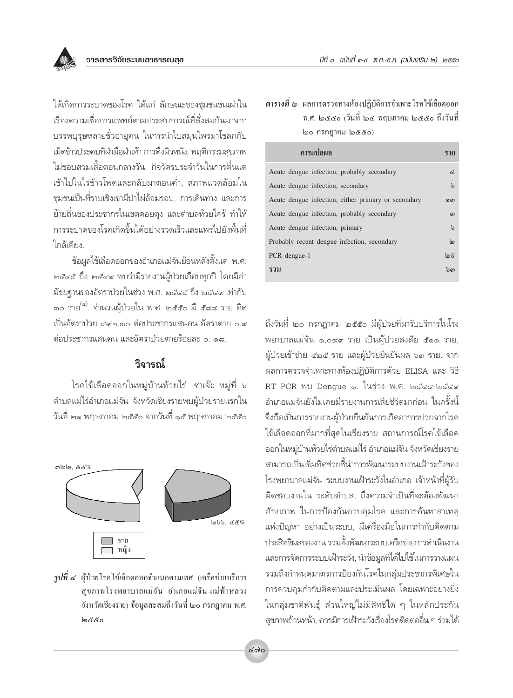ให้เกิดการระบาดของโรค ได้แก่ ลักษณะของชมชนชนเผ่าใน เรื่องความเชื่อการแพทย์ตามประสบการณ์ที่สั่งสมกันมาจาก ้บรรพบุรุษหลายชั่วอายุคน ในการนำใบสมุนไพรมาโขลกกับ เม็ดข้าวประคบที่ฝ่ามือฝ่าเท้า การดึงผิวหนัง, พฤติกรรมสุขภาพ ไม่ชอบสวมเสื้อตอนกลางวัน. กิจวัตรประจำวันในการตื่นแต่ ้เช้าไปในไร่ข้าวโพดและกลับมาตอนค่ำ, สภาพแวดล้อมใน ชมชนเป็นที่ราบเชิงเขามีป่าไผ่ล้อมรอบ, การเดินทาง และการ ย้ายถิ่นของประชากรในเขตดอยตุง และตำบลห้วยไคร้ ทำให้ การระบาดของโรคเกิดขึ้นได้อย่างรวดเร็วและแพร่ไปยังพื้นที่ ใกล้เคียง

ข้อมูลไข้เลือดออกของอำเภอแม่จันย้อนหลังตั้งแต่ พ.ศ. ๒๕๔๕ ถึง ๒๕๔๙ พบว่ามีรายงานผู้ป่วยเกือบทุกปี โดยมีค่า ม้ธยจานของอัตราป่วยในช่วง พ.ศ. ๒๕๔๕ ถึง ๒๕๔๙ เท่ากับ ๓๐ ราย<sup>(๔)</sup>. จำนวนผู้ป่วยใน พ.ศ. ๒๕๕๐ มี ๕๘๘ ราย คิด เป็นอัตราป่วย ๔๙๒.๓๐ ต่อประชากรแสนคน อัตราตาย ๐.๙ ต่อประชากรแสนคน และอัตราป่วยตายร้อยละ ๐ ๑๘

## วิจารณ์

โรคไข้เลือดออกในหมู่บ้านห้วยไร่ -ซาเจ๊ะ หมู่ที่ ๖ ้ตำบลแม่ไร่อำเภอแม่จัน จังหวัดเชียงรายพบผ้ป่วยรายแรกใน วันที่ ๒๑ พฤษภาคม ๒๕๕๐ จากวันที่ ๑๕ พฤษภาคม ๒๕๕๐



 $\,$ รูปที่ ๔ ผู้ป่วยโรคใช้เลือดออกจำแนกตามเพศ (เครือข่ายบริการ สขภาพโรงพยาบาลแม่จัน อำเภอแม่จัน-แม่ฟ้าหลวง จังหวัดเชียงราย) ข้อมูลสะสมถึงวันที่ ๒๐ กรกฎาคม พ.ศ. అడడం

## **ิตารางที่ ๒** ผลการตรวจทางห้องปฏิบัติการจำเพาะโรคไข้เลือดออก พ.ศ. ๒๕๕๐ (วันที่ ๒๔ พฤษภาคม ๒๕๕๐ ถึงวันที่ ๒๐ กรกฎาคม ๒๕๕๐)

| การแปลผล                                            | ราย            |
|-----------------------------------------------------|----------------|
| Acute dengue infection, probably secondary          | $\epsilon$     |
| Acute dengue infection, secondary                   | $\mathfrak{b}$ |
| Acute dengue infection, either primary or secondary | ை              |
| Acute dengue infection, probably secondary          | ഩ              |
| Acute dengue infection, primary                     | $\mathfrak{b}$ |
| Probably recent dengue infection, secondary         | ကြ             |
| PCR dengue-1                                        | ImE            |
| รวม                                                 | ົກຕາ           |

ถึงวันที่ ๒๐ กรกฎาคม ๒๕๕๐ มีผู้ป่วยที่มารับบริการในโรง พยาบาลแม่จัน ๑,๐๙๙ ราย เป็นผู้ป่วยสงสัย ๕๑๑ ราย, ผู้ป่วยเข้าข่าย ๕๒๕ ราย และผู้ป่วยยืนยันผล ๖๓ ราย. จาก ผลการตรวจจำเพาะทางห้องปฏิบัติการด้วย ELISA และ วิธี RT PCR พบ Dengue ๑. ในช่วง พ.ศ. ๒๕๔๔-๒๕๔๙ ้อำเภอแม่จันยังไม่เคยมีรายงานการเสียชีวิตมาก่อน ในครั้งนี้ จึงถือเป็นการรายงานผู้ป่วยยืนยันการเกิดอาการป่วยจากโรค ไข้เลือดออกที่มากที่สุดในเชียงราย สถานการณ์โรคไข้เลือด ้ออกในหมู่บ้านห้วยไร่ตำบลแม่ไร่ อำเภอแม่จัน จังหวัดเชียงราย สามารถเป็นเข็มทิศช่วยชี้นำการพัฒนาระบบงานเฝ้าระวังของ โรงพยาบาลแม่จัน ระบบงานเฝ้าระวังในอำเภอ เจ้าหน้าที่ผู้รับ ผิดชอบงานใน ระดับตำบล, ถึงความจำเป็นที่จะต้องพัฒนา ์ศักยภาพ ในการป้องกันควบคุมโรค และการค้นหาสาเหตุ แห่งปัญหา อย่างเป็นระบบ, มีเครื่องมือในการกำกับติดตาม ประสิทธิผลของงาน รวมทั้งพัฒนาระบบเครือข่ายการดำเนินงาน และการจัดการระบบเฝ้าระวัง, นำข้อมูลที่ได้ไปใช้ในการวางแผน รวมถึงกำหนดมาตรการป้องกันโรคในกลุ่มประชากรพิเศษใน การควบคมกำกับติดตามและประเมินผล โดยเฉพาะอย่างยิ่ง ในกลุ่มชาติพันธุ์ ส่วนใหญ่ไม่มีสิทธิใด ๆ ในหลักประกัน สุขภาพถ้วนหน้า, ควรมีการเฝ้าระวังเรื่องโรคติดต่ออื่น ๆ ร่วมได้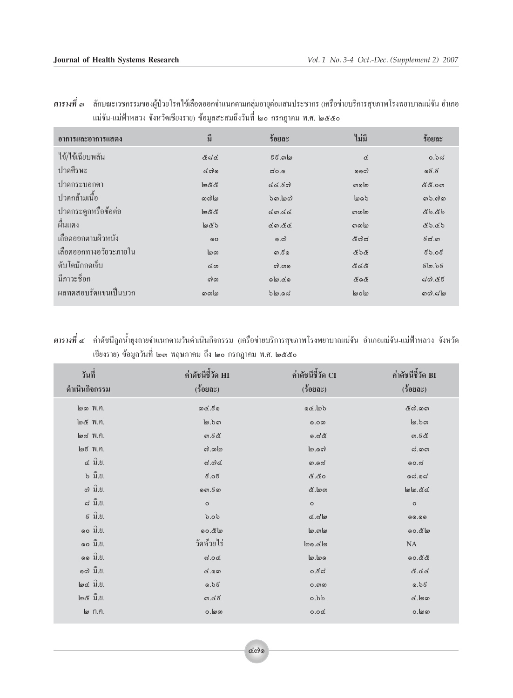| อาการและอาการแสดง      | มี              | ร้อยละ                  | ไม่มี             | ร้อยละ                  |
|------------------------|-----------------|-------------------------|-------------------|-------------------------|
| ไข้/ไข้เฉียบพลัน       | <u>&amp;ನಡ</u>  | දි දි. ග@               | $\vec{\alpha}$    | $o.b$ ದ                 |
| ปวดศีรษะ               | CO <sub>o</sub> | $\approx$ ೦.೦           | லை                | වේ.වි                   |
| ปวดกระบอกตา            | මරීර්           | 66.50                   | லைம               | <u>&amp; &amp; .o ග</u> |
| <u> ปวดกล้ามเนื้อ</u>  | லைி             | $b$ <i>ດ</i> ,ໄອຕົ      | ပြစ်              | ගාරි. ෆ්ග               |
| ปวดกระดูกหรือข้อต่อ    | මරීර්           | Gon.GG                  | வை                | ども.ども                   |
| ์<br>ผื่นแดง           | しどっ             | 6.66                    | வை                | どりてり                    |
| เลือดออกตามผิวหนัง     | O               | 0.5                     | <i>&amp; ಣಿ ನ</i> | <u>ຮີຝ.ຫ</u>            |
| เลือดออกทางอวัยวะภายใน | <u>ໄ</u><br>    | ග.&ග                    | ර්ර්නී            | 50.05                   |
| ดับโตมักกดเจ็บ         | යග              | ெ. வை                   | ಕಿತ ಕಿ            | ೯๒.১೯                   |
| มีภาวะช็อก             | வி              | $\circ \mathsf{I}$ . Go | ර්ගර්             | ನ್.ಡೆಕ                  |
| ผลทดสอบรัดแขนเป็นบวก   | வை              | bb.96                   | loolo             | നെ പിന                  |

ี <mark>ตารางที่</mark> ๓ ลักษณะเวชกรรมของผู้ป่วยโรคไข้เลือดออกจำแนกตามกลุ่มอายุต่อแสนประชากร (เครือข่ายบริการสุขภาพโรงพยาบาลแม่จัน อำเภอ แม่จัน-แม่ฟ้าหลวง จังหวัดเชียงราย) ข้อมูลสะสมถึงวันที่ ๒๐ กรกฎาคม พ.ศ. ๒๕๕๐

ี <mark>ตารางที่ ๔ ค่</mark>าดัชนีลูกน้ำยุงลายจำแนกตามวันดำเนินกิจกรรม (เครือข่ายบริการสุขภาพโรงพยาบาลแม่จัน อำเภอแม่จัน-แม่ฟ้าหลวง จังหวัด เชียงราย) ข้อมูลวันที่ ๒๑ พฤษภาคม ถึง ๒๐ กรกฎาคม พ.ศ. ๒๕๕๐

| วันที่<br>ดำเนินกิจกรรม                                | ค่าดัชนีชี้วัด HI<br>$(5$ 0 20 $0$ $0$ | ค่าดัชนีชี้วัด CI<br>$(5$ 0 20 $0$ $0$ | ค่าดัชนีชี้วัด BI<br>$(\xi090\varepsilon)$ |
|--------------------------------------------------------|----------------------------------------|----------------------------------------|--------------------------------------------|
| $\omega$ $\infty$ $\gamma$ .                           | ගœ.&ග                                  | G                                      | &ි ගාග                                     |
| @ <i>ඊ W.A.</i>                                        | $\omega$ .b $\omega$                   | 0.0 <sub>W</sub>                       | $\omega$ .bo                               |
| $\omega \approx$ $\gamma$ .                            | ග.ජිරී                                 | ೂ.ದ&                                   | ග.&ි                                       |
| $\omega \xi$ $W.n.$                                    | ி.வு                                   | စြ. ရက်                                | $\approx$ . തെ                             |
| $\ll$ $\widehat{\mathfrak{Y}}$ . $\mathfrak{y}.$       | $\approx$ .೧) $\propto$                | ග.යේ                                   | 00.ನ                                       |
| $\mathfrak{b}$ $\hat{\mathfrak{A}}$ . $\mathfrak{b}$ . | 5.05                                   | ර රී.රී                                | <b>ೂ</b> ದೆ.ೂದ                             |
| $\omega$ ນີ້. $\theta$ .                               | ගො.ජිගා                                | &. ගග                                  | bd.86                                      |
| $\approx \hat{\mathbb{U}}. \mathbb{U}$ .               | $\circ$                                | $\circ$                                | $\circ$                                    |
| $\xi$ $\widehat{\mathfrak{Y}}.\mathfrak{V}.$           | 60.6                                   | $\alpha$ .สไต                          | 00.00                                      |
| ໑໐ ນີ້.ຢ.                                              | 00.80                                  | <u> ဖြ</u> …ကဖြ                        | 00.๕๒                                      |
| $\circ$ o $\hat{\mathbb{J}}$ . $\mathbb{U}$ .          | วัดห้วยไร่                             | های.هها                                | <b>NA</b>                                  |
| ໑໑ ນີ້.ຢ.                                              | ದೆ.o $\alpha$                          | 00.6                                   | 00.ඊඊ                                      |
| o ຕ ນີ້.U.                                             | 6.00                                   | ಂ.ಕನ                                   | &.&&                                       |
| $\omega \propto \hat{\mathfrak{A}}.8.$                 | 0.55                                   | $O.$ $O$                               | 0.55                                       |
| $\omega \& \hat{\mathfrak{U}}.$                        | ග.៤៩                                   | $d$ , $d$                              | $\alpha$ . $\omega$                        |
| ๒ ก.ค.                                                 | 0. ගග                                  | 0.0 <sub>6</sub>                       | 0. ගග                                      |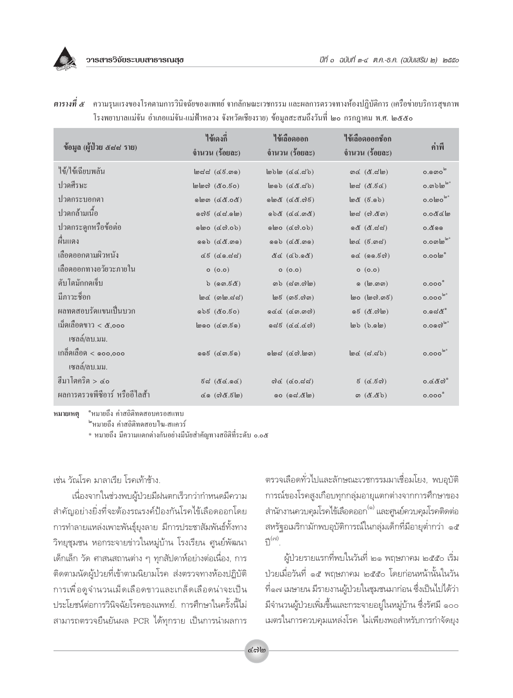

| ข้อมูล (ผู้ป่วย ๕๘๘ ราย)               | ใข้เดงกิ่<br>จำนวน (ร้อยละ)                           | ไข้เลือดออก<br>จำนวน (ร้อยละ)                                     | ไข้เลือดออกซ็อก<br>จำนวน (ร้อยละ)                            | ค่ำพื                  |
|----------------------------------------|-------------------------------------------------------|-------------------------------------------------------------------|--------------------------------------------------------------|------------------------|
| ไข้/ไข้เฉียบพลัน                       | $\lfloor \omega \right $ de ( $\alpha$ E.com)         | $(\text{dA}, \text{dA})$                                          | ග <u>ර</u> (&.ය\ග)                                           | $0.000^\circ$          |
| ปวดศีรษะ                               | $log$ ) (co.50)                                       | $(dA, B)$ $(dA, B)$                                               | $\omega$ (&.5 $\alpha$ )                                     | $0.$ on $b \log x$     |
| ปวดกระบอกตา                            | (නී0.නීව) ඔමු                                         | $O(S(\alpha, \beta)$ ) $\delta$ olo                               | $\omega$ (5.0b)                                              | $0.000^{\omega*}$      |
| ปวดกล้ามเนื้อ                          | $($ @a.sa) $\delta$                                   | (8a.22)                                                           | $\lfloor \omega_{\mathcal{G}} \rfloor$ (ෆ). $\mathcal{K}$ ග) | 0.0866                 |
| ปวดกระดูกหรือข้อต่อ                    | ol(60.6)                                              | ol(60.6)                                                          | ೧& (&.ದದ)                                                    | 0.000                  |
| ผืนแดง                                 | $(60)$ $(68.00)$                                      | $(60)$ $(68.00)$                                                  | $\lfloor \omega \alpha \rfloor$ (5. $\omega \alpha$ )        | $0.0$ லி $e^{\pm}$     |
| เลือดออกตามผิวหนัง                     | $CE$ $(6.55)$                                         | $(80.62)$ $\Delta$                                                | oc (00.5c)                                                   | 0.00 <sup>°</sup>      |
| เลือดออกทางอวัยวะภายใน                 | O(0.0)                                                | O(0.0)                                                            | O(0.0)                                                       |                        |
| ตับโตมักกดเจ็บ                         | $b$ (ඉග. $\vec{c}$ රි                                 | $ab$ ( $ad$ ຫ.ຕ $b$ )                                             | ை ([மவை)                                                     | 0.000                  |
| มีภาวะชื่อก                            | $\omega$ (alo.dd)                                     | $\ln 5$ $(m5.00)$                                                 | $\omega$ ( $\omega$ ෆි.ග $\epsilon$ )                        | $0.000^{6*}$           |
| ผลทดสอบรัดแขนเป็นบวก                   | $(05.02)$ 5 $6$                                       | od@(Con. <sub>9</sub> )                                           | 65 (&.ෆ <u>)</u>                                             | ೦.೧ದ&ಿ                 |
| เม็ดเลือดขาว < ๕,०००<br>เซลล์/ลบ.มม.   | $\log$ ( $\cos$ , $\sin$                              | $odg$ $odg$ $odg$ $odg$                                           | $\omega$ b.olo)                                              | $0.0$ ด๗ $^{\omega^*}$ |
| เกล็ดเลือด $<$ ๑๐๐,๐๐๐<br>เซลล์/ลบ.มม. | $\circ \circ \varepsilon$ (con. $\varepsilon \circ$ ) | $\delta$ @ක් $(\mathbb{C} \mathfrak{S}, \mathbb{C} \mathfrak{S})$ | $\omega$ (d.db)                                              | $0.000^{\omega}$       |
| ฮีมาโตคริต > ๔๐                        | 6.96.92)                                              | $od$ (៤o.๘๘)                                                      | $\mathfrak{g}(\mathfrak{a}. \mathfrak{g})$                   | ೦.៤៥៧ ँ                |
| ผลการตรวจพีซีอาร์ หรืออีไลส้า          | $\infty$ (ෆ් $\alpha$ . $\epsilon$ lග)                | oo (යේ. <i>&amp;</i> lo)                                          | ග ( <u>&amp;.&amp;</u> b)                                    | 0.000                  |

ี <mark>ตารางที่ ๕</mark> ความรุนแรงของโรคตามการวินิจฉัยของแพทย์ จากลักษณะเวชกรรม และผลการตรวจทางห้องปฏิบัติการ (เครือข่ายบริการสุขภาพ โรงพยาบาลแม่จัน อำเภอแม่จัน-แม่ฟ้าหลวง จังหวัดเชียงราย) ข้อมูลสะสมถึงวันที่ ๒๐ กรกฎาคม พ.ศ. ๒๕๕๐

ำหมายถึง ค่าสถิติทดสอบครอสแทบ หมายเหต

™หมายถึง ค่าสถิติทดสอบไฆ-สแควร์

\* หมายถึง มีความแตกต่างกันอย่างมีนัยสำคัญทางสถิติที่ระดับ ๐.๐๕

เช่น วัณโรค มาลาเรีย โรคเท้าช้าง.

เนื่องจากในช่วงพบผู้ป่วยมีฝนตกเร็วกว่ากำหนดมีความ สำคัญอย่างยิ่งที่จะต้องรณรงค์ป้องกันโรคไข้เลือดออกโดย การทำลายแหล่งเพาะพันธุ์ยุงลาย มีการประชาสัมพันธ์ทั้งทาง วิทยุชุมชน หอกระจายข่าวในหมู่บ้าน โรงเรียน ศูนย์พัฒนา เด็กเล็ก วัด ศาสนสถานต่าง ๆ ทุกสัปดาห์อย่างต่อเนื่อง, การ ้ติดตามนัดผู้ป่วยที่เข้าตามนิยามโรค ส่งตรวจทางห้องปฏิบัติ การเพื่อดูจำนวนเม็ดเลือดขาวและเกล็ดเลือดน่าจะเป็น ประโยชน์ต่อการวินิจฉัยโรคของแพทย์. การศึกษาในครั้งนี้ไม่ สามารถตรวจยื่นยันผล PCR ได้ทุกราย เป็นการนำผลการ ้ตรวจเลือดทั่วไปและลักษณะเวชกรรมมาเชื่อมโยง, พบอุบัติ การณ์ของโรคสูงเกือบทุกกลุ่มอายุแตกต่างจากการศึกษาของ ้สำนักงานควบคุมโรคไข้เลือดออก<sup>(๑)</sup> และศูนย์ควบคุมโรคติดต่อ สหรัฐอเมริกามักพบอุบัติการณ์ในกลุ่มเด็กที่มีอายุต่ำกว่า ๑๕  $\tilde{P}^{(c)}$ 

ผู้ป่วยรายแรกที่พบในวันที่ ๒๑ พฤษภาคม ๒๕๕๐ เริ่ม ป่วยเมื่อวันที่ ๑๕ พฤษภาคม ๒๕๕๐ โดยก่อนหน้านั้นในวัน ที่๑๗ เมษายน มีรายงานผู้ป่วยในชุมชนมาก่อน ซึ่งเป็นไปได้ว่า มีจำนวนผู้ป่วยเพิ่มขึ้นและกระจายอยู่ในหมู่บ้าน ซึ่งรัศมี ๑๐๐ เมตรในการควบคุมแหล่งโรค ไม่เพียงพอสำหรับการกำจัดยุง